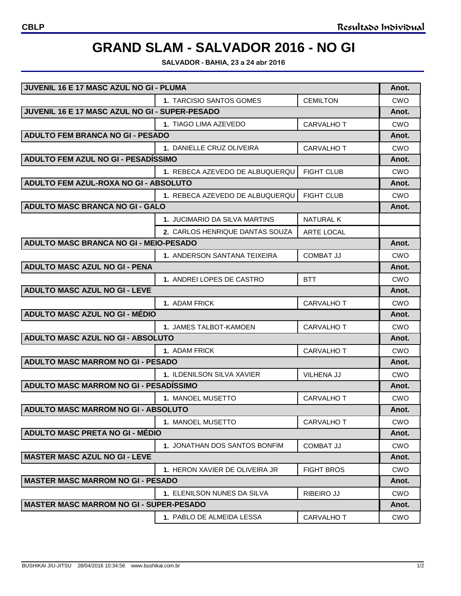## **GRAND SLAM - SALVADOR 2016 - NO GI**

**SALVADOR - BAHIA, 23 a 24 abr 2016**

| JUVENIL 16 E 17 MASC AZUL NO GI - PLUMA        |                                    |                   | Anot.      |
|------------------------------------------------|------------------------------------|-------------------|------------|
|                                                | 1. TARCISIO SANTOS GOMES           | <b>CEMILTON</b>   | CWO        |
| JUVENIL 16 E 17 MASC AZUL NO GI - SUPER-PESADO |                                    |                   | Anot.      |
|                                                | 1. TIAGO LIMA AZEVEDO              | CARVALHO T        | CWO        |
| <b>ADULTO FEM BRANCA NO GI - PESADO</b>        |                                    |                   | Anot.      |
|                                                | 1. DANIELLE CRUZ OLIVEIRA          | <b>CARVALHO T</b> | CWO        |
| ADULTO FEM AZUL NO GI - PESADISSIMO            |                                    |                   | Anot.      |
|                                                | 1. REBECA AZEVEDO DE ALBUQUERQU    | <b>FIGHT CLUB</b> | CWO        |
| ADULTO FEM AZUL-ROXA NO GI - ABSOLUTO          |                                    |                   | Anot.      |
|                                                | 1. REBECA AZEVEDO DE ALBUQUERQU    | <b>FIGHT CLUB</b> | CWO        |
| <b>ADULTO MASC BRANCA NO GI - GALO</b>         |                                    |                   | Anot.      |
|                                                | 1. JUCIMARIO DA SILVA MARTINS      | NATURAL K         |            |
|                                                | 2. CARLOS HENRIQUE DANTAS SOUZA    | <b>ARTE LOCAL</b> |            |
| ADULTO MASC BRANCA NO GI - MEIO-PESADO         |                                    |                   | Anot.      |
|                                                | 1. ANDERSON SANTANA TEIXEIRA       | <b>COMBAT JJ</b>  | CWO        |
| <b>ADULTO MASC AZUL NO GI - PENA</b>           |                                    |                   | Anot.      |
|                                                | 1. ANDREI LOPES DE CASTRO          | <b>BTT</b>        | CWO        |
| <b>ADULTO MASC AZUL NO GI - LEVE</b>           |                                    |                   | Anot.      |
|                                                | 1. ADAM FRICK                      | <b>CARVALHO T</b> | <b>CWO</b> |
| ADULTO MASC AZUL NO GI - MÉDIO                 |                                    |                   | Anot.      |
|                                                | 1. JAMES TALBOT-KAMOEN             | <b>CARVALHO T</b> | CWO        |
| ADULTO MASC AZUL NO GI - ABSOLUTO              |                                    |                   | Anot.      |
|                                                | 1. ADAM FRICK                      | <b>CARVALHO T</b> | CWO        |
| <b>ADULTO MASC MARROM NO GI - PESADO</b>       |                                    |                   | Anot.      |
|                                                | 1. ILDENILSON SILVA XAVIER         | <b>VILHENA JJ</b> | <b>CWO</b> |
| ADULTO MASC MARROM NO GI - PESADISSIMO         |                                    |                   | Anot.      |
|                                                | <b>1. MANOEL MUSETTO</b>           | <b>CARVALHO T</b> | CWO        |
| ADULTO MASC MARROM NO GI - ABSOLUTO            |                                    |                   | Anot.      |
|                                                | 1. MANOEL MUSETTO                  | <b>CARVALHO T</b> | CWO        |
| <b>ADULTO MASC PRETA NO GI - MÉDIO</b>         |                                    |                   | Anot.      |
|                                                | 1. JONATHAN DOS SANTOS BONFIM      | <b>COMBAT JJ</b>  | <b>CWO</b> |
| <b>MASTER MASC AZUL NO GI - LEVE</b>           |                                    |                   | Anot.      |
|                                                | 1. HERON XAVIER DE OLIVEIRA JR     | <b>FIGHT BROS</b> | <b>CWO</b> |
| <b>MASTER MASC MARROM NO GI - PESADO</b>       |                                    |                   | Anot.      |
|                                                | <b>1. ELENILSON NUNES DA SILVA</b> | <b>RIBEIRO JJ</b> | <b>CWO</b> |
| <b>MASTER MASC MARROM NO GI - SUPER-PESADO</b> |                                    |                   | Anot.      |
|                                                | 1. PABLO DE ALMEIDA LESSA          | CARVALHO T        | <b>CWO</b> |